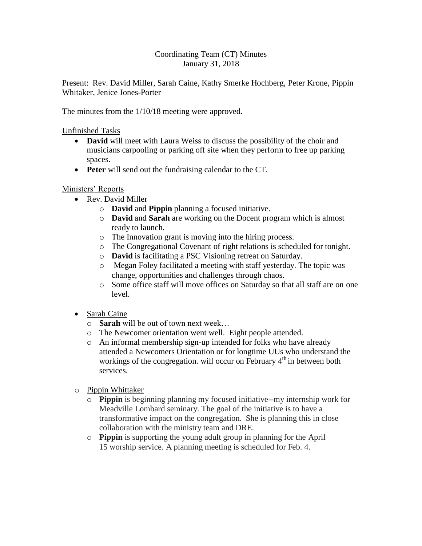## Coordinating Team (CT) Minutes January 31, 2018

Present: Rev. David Miller, Sarah Caine, Kathy Smerke Hochberg, Peter Krone, Pippin Whitaker, Jenice Jones-Porter

The minutes from the 1/10/18 meeting were approved.

Unfinished Tasks

- **David** will meet with Laura Weiss to discuss the possibility of the choir and musicians carpooling or parking off site when they perform to free up parking spaces.
- **Peter** will send out the fundraising calendar to the CT.

## Ministers' Reports

- Rev. David Miller
	- o **David** and **Pippin** planning a focused initiative.
	- o **David** and **Sarah** are working on the Docent program which is almost ready to launch.
	- o The Innovation grant is moving into the hiring process.
	- o The Congregational Covenant of right relations is scheduled for tonight.
	- o **David** is facilitating a PSC Visioning retreat on Saturday.
	- o Megan Foley facilitated a meeting with staff yesterday. The topic was change, opportunities and challenges through chaos.
	- o Some office staff will move offices on Saturday so that all staff are on one level.
- Sarah Caine
	- o **Sarah** will be out of town next week…
	- o The Newcomer orientation went well. Eight people attended.
	- o An informal membership sign-up intended for folks who have already attended a Newcomers Orientation or for longtime UUs who understand the workings of the congregation. will occur on February  $4<sup>th</sup>$  in between both services.
- o Pippin Whittaker
	- o **Pippin** is beginning planning my focused initiative--my internship work for Meadville Lombard seminary. The goal of the initiative is to have a transformative impact on the congregation. She is planning this in close collaboration with the ministry team and DRE.
	- o **Pippin** is supporting the young adult group in planning for the April 15 worship service. A planning meeting is scheduled for Feb. 4.